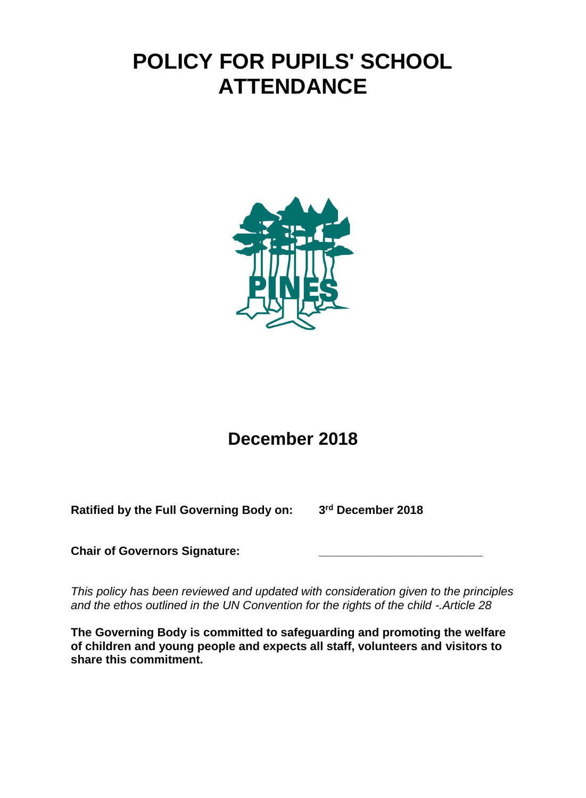# **POLICY FOR PUPILS' SCHOOL ATTENDANCE**



# **December 2018**

**Ratified by the Full Governing Body on: 3**

**rd December 2018**

**Chair of Governors Signature: \_\_\_\_\_\_\_\_\_\_\_\_\_\_\_\_\_\_\_\_\_\_\_\_\_**

*This policy has been reviewed and updated with consideration given to the principles and the ethos outlined in the UN Convention for the rights of the child -.Article 28*

**The Governing Body is committed to safeguarding and promoting the welfare of children and young people and expects all staff, volunteers and visitors to share this commitment.**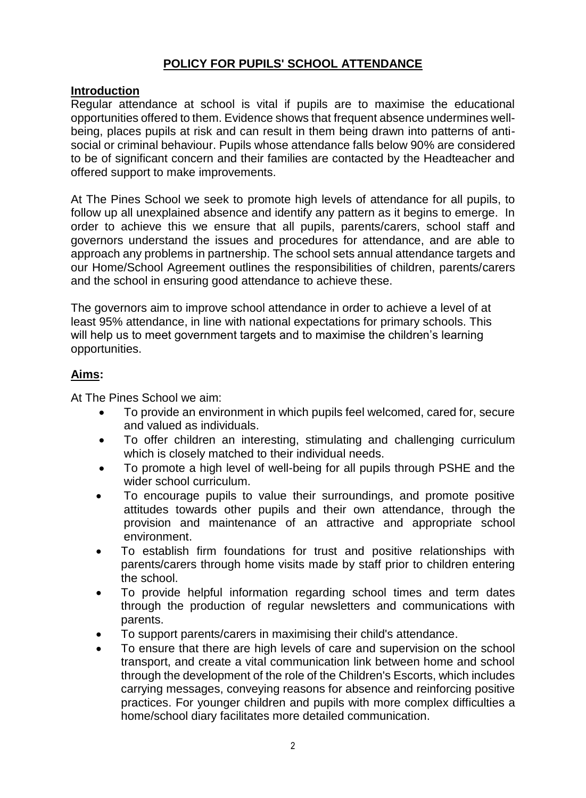# **POLICY FOR PUPILS' SCHOOL ATTENDANCE**

#### **Introduction**

Regular attendance at school is vital if pupils are to maximise the educational opportunities offered to them. Evidence shows that frequent absence undermines wellbeing, places pupils at risk and can result in them being drawn into patterns of antisocial or criminal behaviour. Pupils whose attendance falls below 90% are considered to be of significant concern and their families are contacted by the Headteacher and offered support to make improvements.

At The Pines School we seek to promote high levels of attendance for all pupils, to follow up all unexplained absence and identify any pattern as it begins to emerge. In order to achieve this we ensure that all pupils, parents/carers, school staff and governors understand the issues and procedures for attendance, and are able to approach any problems in partnership. The school sets annual attendance targets and our Home/School Agreement outlines the responsibilities of children, parents/carers and the school in ensuring good attendance to achieve these.

The governors aim to improve school attendance in order to achieve a level of at least 95% attendance, in line with national expectations for primary schools. This will help us to meet government targets and to maximise the children's learning opportunities.

#### **Aims:**

At The Pines School we aim:

- To provide an environment in which pupils feel welcomed, cared for, secure and valued as individuals.
- To offer children an interesting, stimulating and challenging curriculum which is closely matched to their individual needs.
- To promote a high level of well-being for all pupils through PSHE and the wider school curriculum.
- To encourage pupils to value their surroundings, and promote positive attitudes towards other pupils and their own attendance, through the provision and maintenance of an attractive and appropriate school environment.
- To establish firm foundations for trust and positive relationships with parents/carers through home visits made by staff prior to children entering the school.
- To provide helpful information regarding school times and term dates through the production of regular newsletters and communications with parents.
- To support parents/carers in maximising their child's attendance.
- To ensure that there are high levels of care and supervision on the school transport, and create a vital communication link between home and school through the development of the role of the Children's Escorts, which includes carrying messages, conveying reasons for absence and reinforcing positive practices. For younger children and pupils with more complex difficulties a home/school diary facilitates more detailed communication.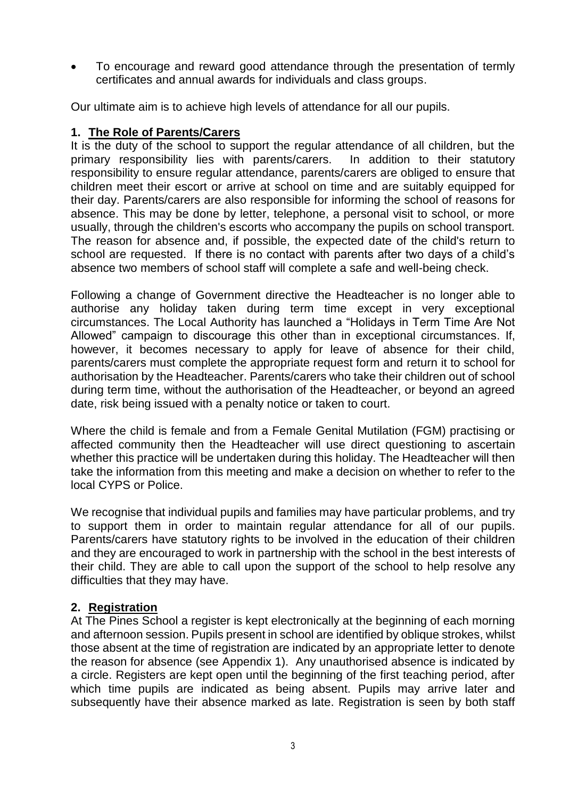To encourage and reward good attendance through the presentation of termly certificates and annual awards for individuals and class groups.

Our ultimate aim is to achieve high levels of attendance for all our pupils.

#### **1. The Role of Parents/Carers**

It is the duty of the school to support the regular attendance of all children, but the primary responsibility lies with parents/carers. In addition to their statutory responsibility to ensure regular attendance, parents/carers are obliged to ensure that children meet their escort or arrive at school on time and are suitably equipped for their day. Parents/carers are also responsible for informing the school of reasons for absence. This may be done by letter, telephone, a personal visit to school, or more usually, through the children's escorts who accompany the pupils on school transport. The reason for absence and, if possible, the expected date of the child's return to school are requested. If there is no contact with parents after two days of a child's absence two members of school staff will complete a safe and well-being check.

Following a change of Government directive the Headteacher is no longer able to authorise any holiday taken during term time except in very exceptional circumstances. The Local Authority has launched a "Holidays in Term Time Are Not Allowed" campaign to discourage this other than in exceptional circumstances. If, however, it becomes necessary to apply for leave of absence for their child, parents/carers must complete the appropriate request form and return it to school for authorisation by the Headteacher. Parents/carers who take their children out of school during term time, without the authorisation of the Headteacher, or beyond an agreed date, risk being issued with a penalty notice or taken to court.

Where the child is female and from a Female Genital Mutilation (FGM) practising or affected community then the Headteacher will use direct questioning to ascertain whether this practice will be undertaken during this holiday. The Headteacher will then take the information from this meeting and make a decision on whether to refer to the local CYPS or Police.

We recognise that individual pupils and families may have particular problems, and try to support them in order to maintain regular attendance for all of our pupils. Parents/carers have statutory rights to be involved in the education of their children and they are encouraged to work in partnership with the school in the best interests of their child. They are able to call upon the support of the school to help resolve any difficulties that they may have.

#### **2. Registration**

At The Pines School a register is kept electronically at the beginning of each morning and afternoon session. Pupils present in school are identified by oblique strokes, whilst those absent at the time of registration are indicated by an appropriate letter to denote the reason for absence (see Appendix 1). Any unauthorised absence is indicated by a circle. Registers are kept open until the beginning of the first teaching period, after which time pupils are indicated as being absent. Pupils may arrive later and subsequently have their absence marked as late. Registration is seen by both staff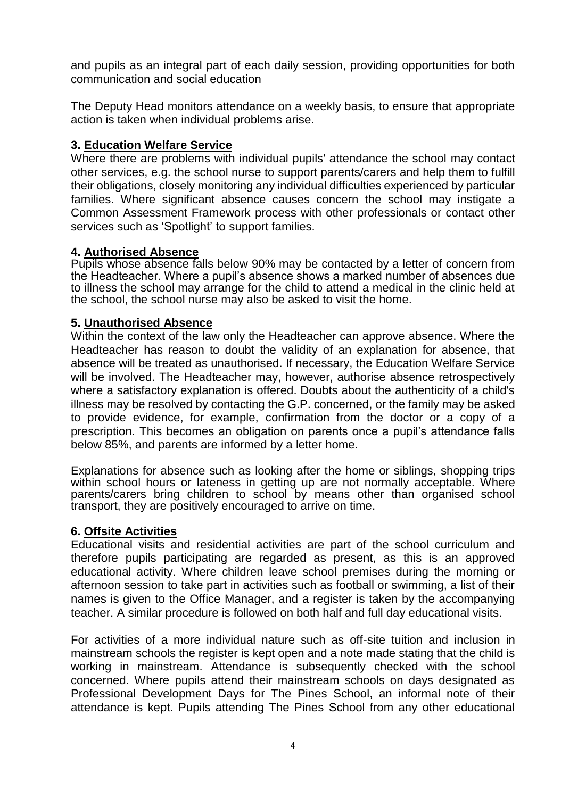and pupils as an integral part of each daily session, providing opportunities for both communication and social education

The Deputy Head monitors attendance on a weekly basis, to ensure that appropriate action is taken when individual problems arise.

#### **3. Education Welfare Service**

Where there are problems with individual pupils' attendance the school may contact other services, e.g. the school nurse to support parents/carers and help them to fulfill their obligations, closely monitoring any individual difficulties experienced by particular families. Where significant absence causes concern the school may instigate a Common Assessment Framework process with other professionals or contact other services such as 'Spotlight' to support families.

#### **4. Authorised Absence**

Pupils whose absence falls below 90% may be contacted by a letter of concern from the Headteacher. Where a pupil's absence shows a marked number of absences due to illness the school may arrange for the child to attend a medical in the clinic held at the school, the school nurse may also be asked to visit the home.

#### **5. Unauthorised Absence**

Within the context of the law only the Headteacher can approve absence. Where the Headteacher has reason to doubt the validity of an explanation for absence, that absence will be treated as unauthorised. If necessary, the Education Welfare Service will be involved. The Headteacher may, however, authorise absence retrospectively where a satisfactory explanation is offered. Doubts about the authenticity of a child's illness may be resolved by contacting the G.P. concerned, or the family may be asked to provide evidence, for example, confirmation from the doctor or a copy of a prescription. This becomes an obligation on parents once a pupil's attendance falls below 85%, and parents are informed by a letter home.

Explanations for absence such as looking after the home or siblings, shopping trips within school hours or lateness in getting up are not normally acceptable. Where parents/carers bring children to school by means other than organised school transport, they are positively encouraged to arrive on time.

#### **6. Offsite Activities**

Educational visits and residential activities are part of the school curriculum and therefore pupils participating are regarded as present, as this is an approved educational activity. Where children leave school premises during the morning or afternoon session to take part in activities such as football or swimming, a list of their names is given to the Office Manager, and a register is taken by the accompanying teacher. A similar procedure is followed on both half and full day educational visits.

For activities of a more individual nature such as off-site tuition and inclusion in mainstream schools the register is kept open and a note made stating that the child is working in mainstream. Attendance is subsequently checked with the school concerned. Where pupils attend their mainstream schools on days designated as Professional Development Days for The Pines School, an informal note of their attendance is kept. Pupils attending The Pines School from any other educational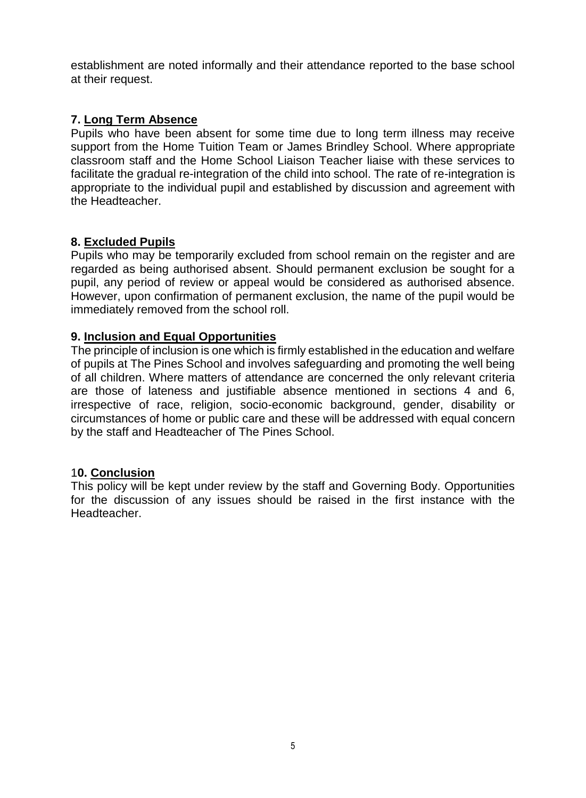establishment are noted informally and their attendance reported to the base school at their request.

#### **7. Long Term Absence**

Pupils who have been absent for some time due to long term illness may receive support from the Home Tuition Team or James Brindley School. Where appropriate classroom staff and the Home School Liaison Teacher liaise with these services to facilitate the gradual re-integration of the child into school. The rate of re-integration is appropriate to the individual pupil and established by discussion and agreement with the Headteacher.

#### **8. Excluded Pupils**

Pupils who may be temporarily excluded from school remain on the register and are regarded as being authorised absent. Should permanent exclusion be sought for a pupil, any period of review or appeal would be considered as authorised absence. However, upon confirmation of permanent exclusion, the name of the pupil would be immediately removed from the school roll.

#### **9. Inclusion and Equal Opportunities**

The principle of inclusion is one which is firmly established in the education and welfare of pupils at The Pines School and involves safeguarding and promoting the well being of all children. Where matters of attendance are concerned the only relevant criteria are those of lateness and justifiable absence mentioned in sections 4 and 6, irrespective of race, religion, socio-economic background, gender, disability or circumstances of home or public care and these will be addressed with equal concern by the staff and Headteacher of The Pines School.

#### 1**0. Conclusion**

This policy will be kept under review by the staff and Governing Body. Opportunities for the discussion of any issues should be raised in the first instance with the Headteacher.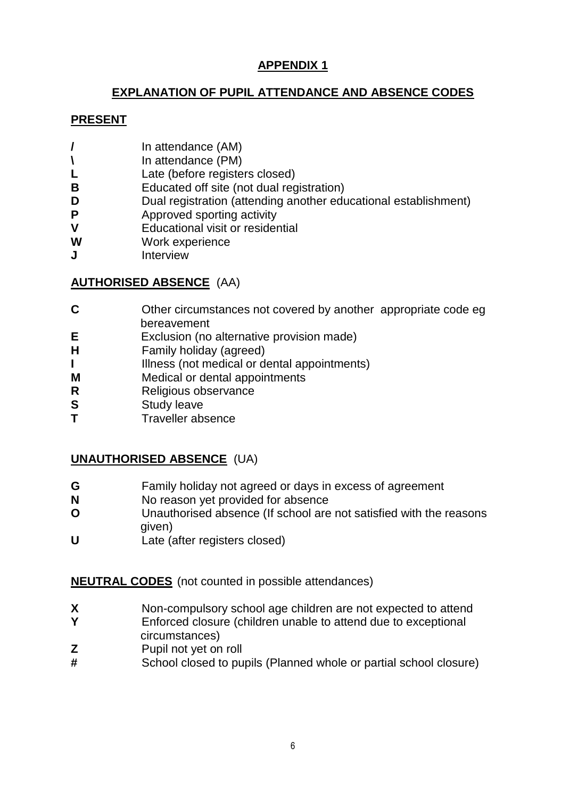# **APPENDIX 1**

# **EXPLANATION OF PUPIL ATTENDANCE AND ABSENCE CODES**

### **PRESENT**

- **/** In attendance (AM)
- **\** In attendance (PM)
- L Late (before registers closed)
- **B** Educated off site (not dual registration)
- **D** Dual registration (attending another educational establishment)
- **P** Approved sporting activity
- **V** Educational visit or residential
- **W** Work experience
- **J** Interview

# **AUTHORISED ABSENCE** (AA)

- **C** Other circumstances not covered by another appropriate code eg bereavement
- **E** Exclusion (no alternative provision made)
- **H** Family holiday (agreed)
- **I** Illness (not medical or dental appointments)
- **M** Medical or dental appointments
- **R** Religious observance
- **S** Study leave
- **T** Traveller absence

# **UNAUTHORISED ABSENCE** (UA)

- **G** Family holiday not agreed or days in excess of agreement
- **N** No reason yet provided for absence
- **O** Unauthorised absence (If school are not satisfied with the reasons given)
- **U** Late (after registers closed)

# **NEUTRAL CODES** (not counted in possible attendances)

- **X** Non-compulsory school age children are not expected to attend
- **Y** Enforced closure (children unable to attend due to exceptional circumstances)
- **Z** Pupil not yet on roll
- **#** School closed to pupils (Planned whole or partial school closure)